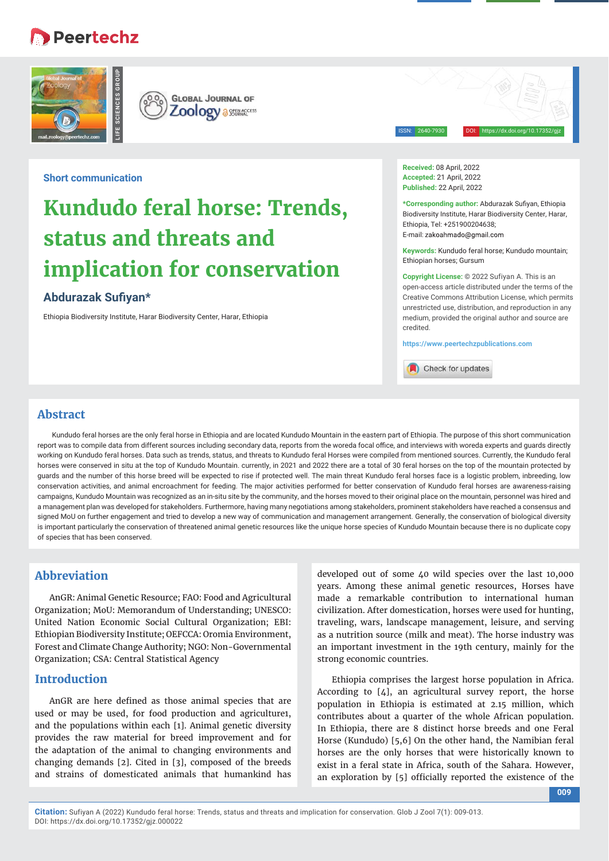# **Peertechz**





ISSN: 2640-7930 DOI: https://dx.doi.org/10.17352/gjz

**Short communication**

# **Kundudo feral horse: Trends, status and threats and implication for conservation**

# Abdurazak Sufiyan\*

Ethiopia Biodiversity Institute, Harar Biodiversity Center, Harar, Ethiopia

**Received:** 08 April, 2022 **Accepted:** 21 April, 2022 **Published:** 22 April, 2022

\*Corresponding author: Abdurazak Sufiyan, Ethiopia Biodiversity Institute, Harar Biodiversity Center, Harar, Ethiopia, Tel: +251900204638; E-mail: zakoahmado@gmail.com

**Keywords:** Kundudo feral horse; Kundudo mountain; Ethiopian horses; Gursum

**Copyright License:** © 2022 Sufiyan A. This is an open-access article distributed under the terms of the Creative Commons Attribution License, which permits unrestricted use, distribution, and reproduction in any medium, provided the original author and source are credited.

**https://www.peertechzpublications.com**

Check for updates

# **Abstract**

Kundudo feral horses are the only feral horse in Ethiopia and are located Kundudo Mountain in the eastern part of Ethiopia. The purpose of this short communication report was to compile data from different sources including secondary data, reports from the woreda focal office, and interviews with woreda experts and quards directly working on Kundudo feral horses. Data such as trends, status, and threats to Kundudo feral Horses were compiled from mentioned sources. Currently, the Kundudo feral horses were conserved in situ at the top of Kundudo Mountain. currently, in 2021 and 2022 there are a total of 30 feral horses on the top of the mountain protected by guards and the number of this horse breed will be expected to rise if protected well. The main threat Kundudo feral horses face is a logistic problem, inbreeding, low conservation activities, and animal encroachment for feeding. The major activities performed for better conservation of Kundudo feral horses are awareness-raising campaigns, Kundudo Mountain was recognized as an in-situ site by the community, and the horses moved to their original place on the mountain, personnel was hired and a management plan was developed for stakeholders. Furthermore, having many negotiations among stakeholders, prominent stakeholders have reached a consensus and signed MoU on further engagement and tried to develop a new way of communication and management arrangement. Generally, the conservation of biological diversity is important particularly the conservation of threatened animal genetic resources like the unique horse species of Kundudo Mountain because there is no duplicate copy of species that has been conserved.

# **Abbreviation**

AnGR: Animal Genetic Resource; FAO: Food and Agricultural Organization; MoU: Memorandum of Understanding; UNESCO: United Nation Economic Social Cultural Organization; EBI: Ethiopian Biodiversity Institute; OEFCCA: Oromia Environment, Forest and Climate Change Authority; NGO: Non-Governmental Organization; CSA: Central Statistical Agency

## **Introduction**

AnGR are here defined as those animal species that are used or may be used, for food production and agriculture1, and the populations within each [1]. Animal genetic diversity provides the raw material for breed improvement and for the adaptation of the animal to changing environments and changing demands [2]. Cited in [3], composed of the breeds and strains of domesticated animals that humankind has

developed out of some 40 wild species over the last 10,000 years. Among these animal genetic resources, Horses have made a remarkable contribution to international human civilization. After domestication, horses were used for hunting, traveling, wars, landscape management, leisure, and serving as a nutrition source (milk and meat). The horse industry was an important investment in the 19th century, mainly for the strong economic countries.

Ethiopia comprises the largest horse population in Africa. According to [4], an agricultural survey report, the horse population in Ethiopia is estimated at 2.15 million, which contributes about a quarter of the whole African population. In Ethiopia, there are 8 distinct horse breeds and one Feral Horse (Kundudo) [5,6] On the other hand, the Namibian feral horses are the only horses that were historically known to exist in a feral state in Africa, south of the Sahara. However, an exploration by [5] officially reported the existence of the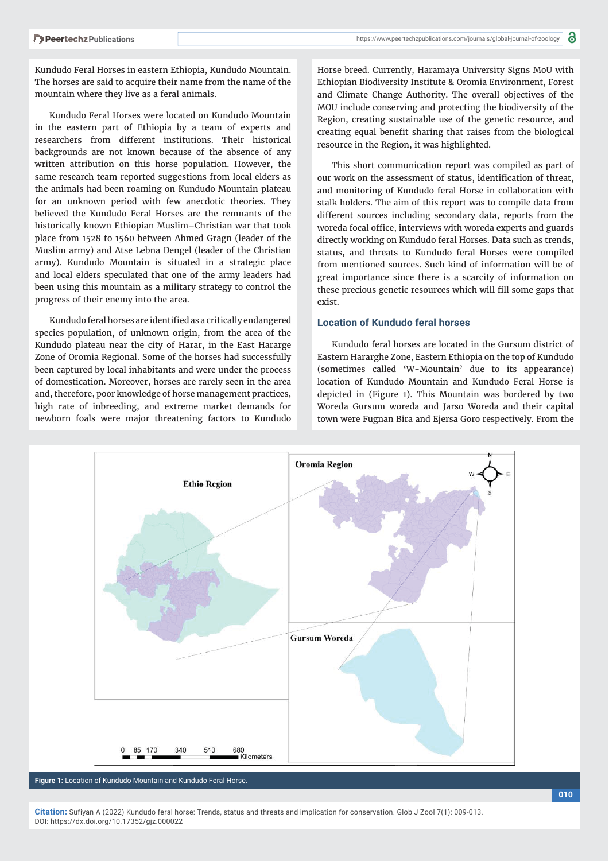Kundudo Feral Horses in eastern Ethiopia, Kundudo Mountain. The horses are said to acquire their name from the name of the mountain where they live as a feral animals.

Kundudo Feral Horses were located on Kundudo Mountain in the eastern part of Ethiopia by a team of experts and researchers from different institutions. Their historical backgrounds are not known because of the absence of any written attribution on this horse population. However, the same research team reported suggestions from local elders as the animals had been roaming on Kundudo Mountain plateau for an unknown period with few anecdotic theories. They believed the Kundudo Feral Horses are the remnants of the historically known Ethiopian Muslim–Christian war that took place from 1528 to 1560 between Ahmed Gragn (leader of the Muslim army) and Atse Lebna Dengel (leader of the Christian army). Kundudo Mountain is situated in a strategic place and local elders speculated that one of the army leaders had been using this mountain as a military strategy to control the progress of their enemy into the area.

Kundudo feral horses are identified as a critically endangered species population, of unknown origin, from the area of the Kundudo plateau near the city of Harar, in the East Hararge Zone of Oromia Regional. Some of the horses had successfully been captured by local inhabitants and were under the process of domestication. Moreover, horses are rarely seen in the area and, therefore, poor knowledge of horse management practices, high rate of inbreeding, and extreme market demands for newborn foals were major threatening factors to Kundudo

Horse breed. Currently, Haramaya University Signs MoU with Ethiopian Biodiversity Institute & Oromia Environment, Forest and Climate Change Authority. The overall objectives of the MOU include conserving and protecting the biodiversity of the Region, creating sustainable use of the genetic resource, and creating equal benefit sharing that raises from the biological resource in the Region, it was highlighted.

This short communication report was compiled as part of our work on the assessment of status, identification of threat, and monitoring of Kundudo feral Horse in collaboration with stalk holders. The aim of this report was to compile data from different sources including secondary data, reports from the woreda focal office, interviews with woreda experts and guards directly working on Kundudo feral Horses. Data such as trends, status, and threats to Kundudo feral Horses were compiled from mentioned sources. Such kind of information will be of great importance since there is a scarcity of information on these precious genetic resources which will fill some gaps that exist.

#### **Location of Kundudo feral horses**

Kundudo feral horses are located in the Gursum district of Eastern Hararghe Zone, Eastern Ethiopia on the top of Kundudo (sometimes called 'W-Mountain' due to its appearance) location of Kundudo Mountain and Kundudo Feral Horse is depicted in (Figure 1). This Mountain was bordered by two Woreda Gursum woreda and Jarso Woreda and their capital town were Fugnan Bira and Ejersa Goro respectively. From the



**Figure 1:** Location of Kundudo Mountain and Kundudo Feral Horse.

**Citation:** Sufiyan A (2022) Kundudo feral horse: Trends, status and threats and implication for conservation. Glob J Zool 7(1): 009-013. DOI: https://dx.doi.org/10.17352/gjz.000022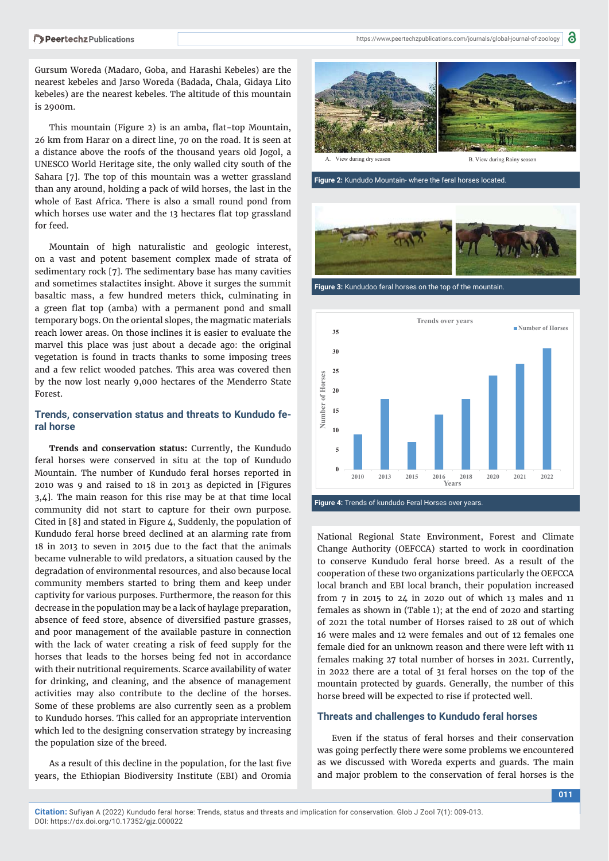8 https://www.peertechzpublications.com/journals/global-journal-of-zoology

Gursum Woreda (Madaro, Goba, and Harashi Kebeles) are the nearest kebeles and Jarso Woreda (Badada, Chala, Gidaya Lito kebeles) are the nearest kebeles. The altitude of this mountain is 2900m.

This mountain (Figure 2) is an amba, flat-top Mountain, 26 km from Harar on a direct line, 70 on the road. It is seen at a distance above the roofs of the thousand years old Jogol, a UNESCO World Heritage site, the only walled city south of the Sahara [7]. The top of this mountain was a wetter grassland than any around, holding a pack of wild horses, the last in the whole of East Africa. There is also a small round pond from which horses use water and the 13 hectares flat top grassland for feed.

Mountain of high naturalistic and geologic interest, on a vast and potent basement complex made of strata of sedimentary rock [7]. The sedimentary base has many cavities and sometimes stalactites insight. Above it surges the summit basaltic mass, a few hundred meters thick, culminating in a green flat top (amba) with a permanent pond and small temporary bogs. On the oriental slopes, the magmatic materials reach lower areas. On those inclines it is easier to evaluate the marvel this place was just about a decade ago: the original vegetation is found in tracts thanks to some imposing trees and a few relict wooded patches. This area was covered then by the now lost nearly 9,000 hectares of the Menderro State Forest.

#### **Trends, conservation status and threats to Kundudo feral horse**

**Trends and conservation status:** Currently, the Kundudo feral horses were conserved in situ at the top of Kundudo Mountain. The number of Kundudo feral horses reported in 2010 was 9 and raised to 18 in 2013 as depicted in [Figures 3,4]. The main reason for this rise may be at that time local community did not start to capture for their own purpose. Cited in [8] and stated in Figure 4, Suddenly, the population of Kundudo feral horse breed declined at an alarming rate from 18 in 2013 to seven in 2015 due to the fact that the animals became vulnerable to wild predators, a situation caused by the degradation of environmental resources, and also because local community members started to bring them and keep under captivity for various purposes. Furthermore, the reason for this decrease in the population may be a lack of haylage preparation, absence of feed store, absence of diversified pasture grasses, and poor management of the available pasture in connection with the lack of water creating a risk of feed supply for the horses that leads to the horses being fed not in accordance with their nutritional requirements. Scarce availability of water for drinking, and cleaning, and the absence of management activities may also contribute to the decline of the horses. Some of these problems are also currently seen as a problem to Kundudo horses. This called for an appropriate intervention which led to the designing conservation strategy by increasing the population size of the breed.

As a result of this decline in the population, for the last five years, the Ethiopian Biodiversity Institute (EBI) and Oromia



**Figure 2:** Kundudo Mountain- where the feral horses located.



**Figure 3:** Kundudoo feral horses on the top of the mountain.



National Regional State Environment, Forest and Climate Change Authority (OEFCCA) started to work in coordination to conserve Kundudo feral horse breed. As a result of the cooperation of these two organizations particularly the OEFCCA local branch and EBI local branch, their population increased from 7 in 2015 to 24 in 2020 out of which 13 males and 11 females as shown in (Table 1); at the end of 2020 and starting of 2021 the total number of Horses raised to 28 out of which 16 were males and 12 were females and out of 12 females one female died for an unknown reason and there were left with 11 females making 27 total number of horses in 2021. Currently, in 2022 there are a total of 31 feral horses on the top of the mountain protected by guards. Generally, the number of this

#### **Threats and challenges to Kundudo feral horses**

horse breed will be expected to rise if protected well.

Even if the status of feral horses and their conservation was going perfectly there were some problems we encountered as we discussed with Woreda experts and guards. The main and major problem to the conservation of feral horses is the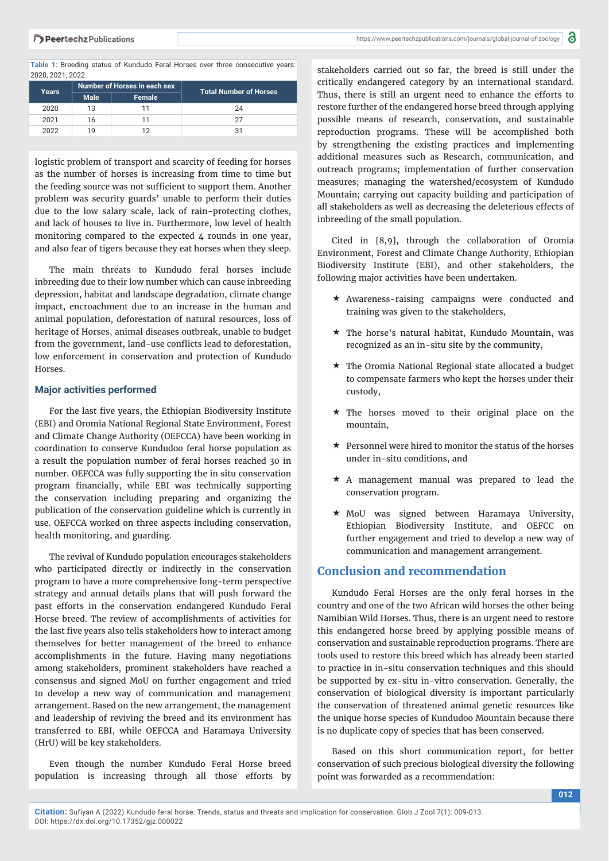**Table 1:** Breeding status of Kundudo Feral Horses over three consecutive years: 2020, 2021, 2022.

| Years | Number of Horses in each sex |        | <b>Total Number of Horses.</b> |
|-------|------------------------------|--------|--------------------------------|
|       | <b>Male</b>                  | Female |                                |
| 2020  | 13                           |        | 24                             |
| 2021  | 16                           |        | クフ                             |
| 2022  | 1 Q                          | 19     | 31                             |

logistic problem of transport and scarcity of feeding for horses as the number of horses is increasing from time to time but the feeding source was not sufficient to support them. Another problem was security guards' unable to perform their duties due to the low salary scale, lack of rain-protecting clothes, and lack of houses to live in. Furthermore, low level of health monitoring compared to the expected  $\mu$  rounds in one year, and also fear of tigers because they eat horses when they sleep.

The main threats to Kundudo feral horses include inbreeding due to their low number which can cause inbreeding depression, habitat and landscape degradation, climate change impact, encroachment due to an increase in the human and animal population, deforestation of natural resources, loss of heritage of Horses, animal diseases outbreak, unable to budget from the government, land-use conflicts lead to deforestation, low enforcement in conservation and protection of Kundudo Horses.

#### **Major activities performed**

For the last five years, the Ethiopian Biodiversity Institute (EBI) and Oromia National Regional State Environment, Forest and Climate Change Authority (OEFCCA) have been working in coordination to conserve Kundudoo feral horse population as a result the population number of feral horses reached 30 in number. OEFCCA was fully supporting the in situ conservation program financially, while EBI was technically supporting the conservation including preparing and organizing the publication of the conservation guideline which is currently in use. OEFCCA worked on three aspects including conservation, health monitoring, and guarding.

The revival of Kundudo population encourages stakeholders who participated directly or indirectly in the conservation program to have a more comprehensive long-term perspective strategy and annual details plans that will push forward the past efforts in the conservation endangered Kundudo Feral Horse breed. The review of accomplishments of activities for the last five years also tells stakeholders how to interact among themselves for better management of the breed to enhance accomplishments in the future. Having many negotiations among stakeholders, prominent stakeholders have reached a consensus and signed MoU on further engagement and tried to develop a new way of communication and management arrangement. Based on the new arrangement, the management and leadership of reviving the breed and its environment has transferred to EBI, while OEFCCA and Haramaya University (HrU) will be key stakeholders.

Even though the number Kundudo Feral Horse breed population is increasing through all those efforts by

stakeholders carried out so far, the breed is still under the critically endangered category by an international standard. Thus, there is still an urgent need to enhance the efforts to restore further of the endangered horse breed through applying possible means of research, conservation, and sustainable reproduction programs. These will be accomplished both by strengthening the existing practices and implementing additional measures such as Research, communication, and outreach programs; implementation of further conservation measures; managing the watershed/ecosystem of Kundudo Mountain; carrying out capacity building and participation of all stakeholders as well as decreasing the deleterious effects of inbreeding of the small population.

Cited in [8,9], through the collaboration of Oromia Environment, Forest and Climate Change Authority, Ethiopian Biodiversity Institute (EBI), and other stakeholders, the following major activities have been undertaken.

- $\star$  Awareness-raising campaigns were conducted and training was given to the stakeholders,
- $\star$  The horse's natural habitat, Kundudo Mountain, was recognized as an in-situ site by the community,
- $\star$  The Oromia National Regional state allocated a budget to compensate farmers who kept the horses under their custody,
- $\star$  The horses moved to their original place on the mountain,
- $\star$  Personnel were hired to monitor the status of the horses under in-situ conditions, and
- $\star$  A management manual was prepared to lead the conservation program.
- MoU was signed between Haramaya University, Ethiopian Biodiversity Institute, and OEFCC on further engagement and tried to develop a new way of communication and management arrangement.

## **Conclusion and recommendation**

Kundudo Feral Horses are the only feral horses in the country and one of the two African wild horses the other being Namibian Wild Horses. Thus, there is an urgent need to restore this endangered horse breed by applying possible means of conservation and sustainable reproduction programs. There are tools used to restore this breed which has already been started to practice in in-situ conservation techniques and this should be supported by ex-situ in-vitro conservation. Generally, the conservation of biological diversity is important particularly the conservation of threatened animal genetic resources like the unique horse species of Kundudoo Mountain because there is no duplicate copy of species that has been conserved.

Based on this short communication report, for better conservation of such precious biological diversity the following point was forwarded as a recommendation: